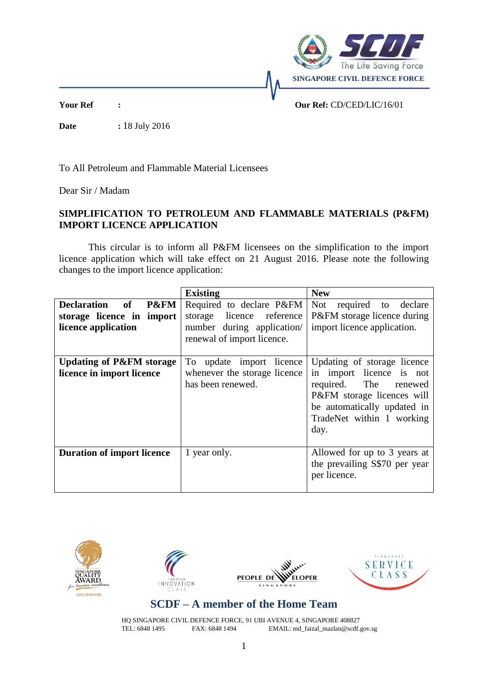

**Date :** 18 July 2016

**Your Ref : Our Ref:** CD/CED/LIC/16/01

To All Petroleum and Flammable Material Licensees

Dear Sir / Madam

## **SIMPLIFICATION TO PETROLEUM AND FLAMMABLE MATERIALS (P&FM) IMPORT LICENCE APPLICATION**

This circular is to inform all P&FM licensees on the simplification to the import licence application which will take effect on 21 August 2016. Please note the following changes to the import licence application:

|                                                                         | <b>Existing</b>                                                                                                      | <b>New</b>                                                                                                                                                                            |
|-------------------------------------------------------------------------|----------------------------------------------------------------------------------------------------------------------|---------------------------------------------------------------------------------------------------------------------------------------------------------------------------------------|
| Declaration of P&FM<br>storage licence in import<br>licence application | Required to declare P&FM<br>storage licence<br>reference<br>number during application/<br>renewal of import licence. | <b>Not</b><br>required to declare<br>P&FM storage licence during<br>import licence application.                                                                                       |
| <b>Updating of P&amp;FM storage</b><br>licence in import licence        | To update import licence<br>whenever the storage licence<br>has been renewed.                                        | Updating of storage licence<br>in import licence is not<br>required. The<br>renewed<br>P&FM storage licences will<br>be automatically updated in<br>TradeNet within 1 working<br>day. |
| <b>Duration of import licence</b>                                       | 1 year only.                                                                                                         | Allowed for up to 3 years at<br>the prevailing S\$70 per year<br>per licence.                                                                                                         |









## **SCDF – A member of the Home Team**

HQ SINGAPORE CIVIL DEFENCE FORCE, 91 UBI AVENUE 4, SINGAPORE 408827<br>TEL: 6848 1495 FAX: 6848 1494 EMAIL: md faizal mazlan@scdf. EMAIL: md\_faizal\_mazlan@scdf.gov.sg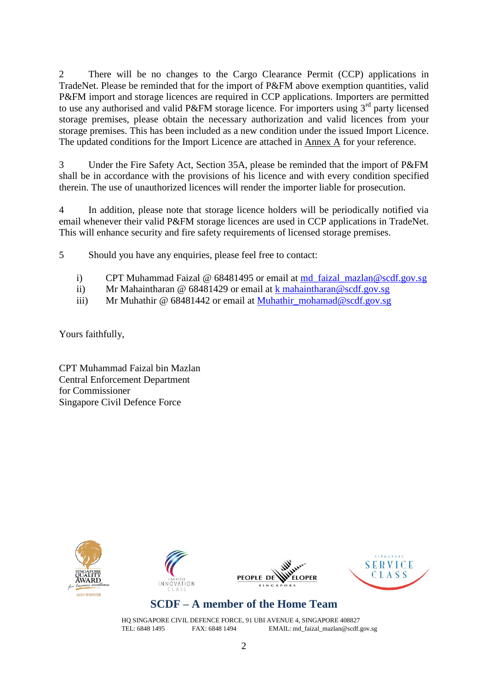2 There will be no changes to the Cargo Clearance Permit (CCP) applications in TradeNet. Please be reminded that for the import of P&FM above exemption quantities, valid P&FM import and storage licences are required in CCP applications. Importers are permitted to use any authorised and valid P&FM storage licence. For importers using 3<sup>rd</sup> party licensed storage premises, please obtain the necessary authorization and valid licences from your storage premises. This has been included as a new condition under the issued Import Licence. The updated conditions for the Import Licence are attached in Annex A for your reference.

3 Under the Fire Safety Act, Section 35A, please be reminded that the import of P&FM shall be in accordance with the provisions of his licence and with every condition specified therein. The use of unauthorized licences will render the importer liable for prosecution.

4 In addition, please note that storage licence holders will be periodically notified via email whenever their valid P&FM storage licences are used in CCP applications in TradeNet. This will enhance security and fire safety requirements of licensed storage premises.

5 Should you have any enquiries, please feel free to contact:

- i) CPT Muhammad Faizal @ 68481495 or email at [md\\_faizal\\_mazlan@scdf.gov.sg](mailto:md_faizal_mazlan@scdf.gov.sg)
- ii) Mr Mahaintharan @ 68481429 or email at  $k$  mahaintharan @ scdf.gov.sg
- iii) Mr Muhathir @ 68481442 or email at [Muhathir\\_mohamad@scdf.gov.sg](mailto:Muhathir_mohamad@scdf.gov.sg)

Yours faithfully,

CPT Muhammad Faizal bin Mazlan Central Enforcement Department for Commissioner Singapore Civil Defence Force









## **SCDF – A member of the Home Team**

HQ SINGAPORE CIVIL DEFENCE FORCE, 91 UBI AVENUE 4, SINGAPORE 408827 TEL: 6848 1495 FAX: 6848 1494 EMAIL: md\_faizal\_mazlan@scdf.gov.sg